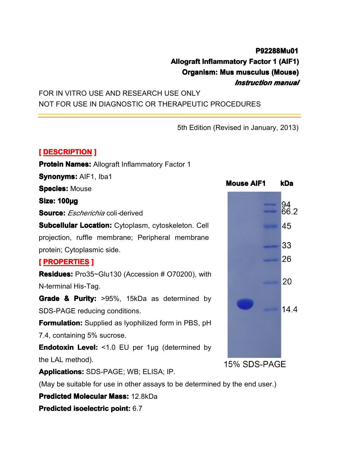## **P92288Mu01 P92288Mu01 Organism: Mus ganism: Mus musculus <sup>s</sup> musculus musculus (Mouse) sculus (Mouse)**

**Allograft Inflammatory Factor 1 (AIF1)**<br>**Organism: Mus musculus (Mouse)**<br>FOR IN VITRO USE AND RESEARCH USE ONLY<br>NOT FOR USE IN DIAGNOSTIC OR THERAPEUTIC PROCEDURES FOR IN VITRO USE AND RESEARCH USE ONLY NOT FOR USE IN DIAGNOSTIC OR THERAPEUTIC PROCEDURES

*<u>5th Edition</u> (Revised in January, 2013)* 5th Edition (Revised in January, 2013)<br>
1991 - Adory Factor<br>
1

# **[ DESCRIPTION ]**<br>**Protein Names: /<br>Synonyms: AIF1,<br>Species: Mouse<br>Sinot 400um**

**Protein Names: Allograft Inflammatory Factor 1<br>
<b>Synonyms:** AIF1, Iba1<br> **Species:** Mouse<br> **Size: 100ug** 

**Species: Mouse** 

**Source: Source: Source:***Escherichia* coli*-*derived

Synonyms: AIF1, Iba1<br>Species: Mouse<br>Size: 100µg<br>Source: *Escherichia* coli-derived<br>Subcellular Location: Cvtoplasm. cvtoskeleton. Cell **Size: 100µg**<br> **Source:** *Ess*<br> **Subcellular**<br>
projection, **1 Subcellular Example 2013 <b>Concellular Subcellular Cytoplasmic side.**<br> **COCATIES EXCOPERTIES EXCOPERTIES** projection, ruffle membrane; Peripheral membrane<br>protein; Cytoplasmic side.<br>**[PROPERTIES ]**<br>**Residues:** Pro35~Glu130 (Accession # O70200), with

protein; Cytoplasmic side.<br> **[ PROPERTIES ]**<br> **Residues:** Pro35~Glu130<br>
N-terminal His-Tag. **FROPERTIES**<br> **Residues:** Pro35<br> **N-terminal His-Ta<br>
Grade & Purity** 

**Residues:** Pro35~Glu130 (Accession # O70200), with<br>N-terminal His-Tag.<br>**Grade & Purity:** >95%, 15kDa as determined by<br>SDS-PAGE reducing conditions. N-terminal His-Tag.<br> **Grade & Purity:**<br>
SDS-PAGE reducin<br> **Formulation:** Supp **Grade & Purity:** >95%, 15kDa as determined by<br>
SDS-PAGE reducing conditions.<br> **Formulation:** Supplied as lyophilized form in PBS, pH<br>
7.4, containing 5% sucrose.

SDS-PAGE reducing conditions.<br>**Formulation:** Supplied as lyoph<br>7.4, containing 5% sucrose.<br>**Endotoxin Level:** <1.0 EU pe **Formulation:** Supplied as lyophilized form in PBS, pH<br>7.4, containing 5% sucrose.<br>**Endotoxin Level:** <1.0 EU per 1µg (determined by<br>the LAL method).

7.4, containing 5% sucrose.<br> **Endotoxin Level:** <1.0 Ethe LAL method).<br> **Applications:** SDS-PAGE; **Endotoxin Level:** <1.0 EU per 1µg (determined by<br>the LAL method).<br>**Applications:** SDS-PAGE; WB; ELISA; IP.<br>(May be suitable for use in other assays to be determined and allocation Magazi 43.8kDe the LAL method).<br> **Applications:** SI<br>
(May be suitable<br> **Predicted Molec** 

**Applications:**SDS-PAGE; WB; ELISA; IP.<br>(May be suitable for use in other assays to<br>**Predicted Molecular Mass:** 12.8kDa<br>**Predicted isoelectric point:** 6.7

(May be suitable for use in other assays to be determined by the end user.)<br>**Predicted Molecular Mass:** 12.8kDa<br>**Predicted isoelectric point:** 6.7

**Predicted Molecular Mass:** 12.8kDa<br>**Predicted isoelectric point:** 6.7

**Predicted isoelectric edictedisoelectric point oelectric point:** 6.7



15% SDS-PAGE